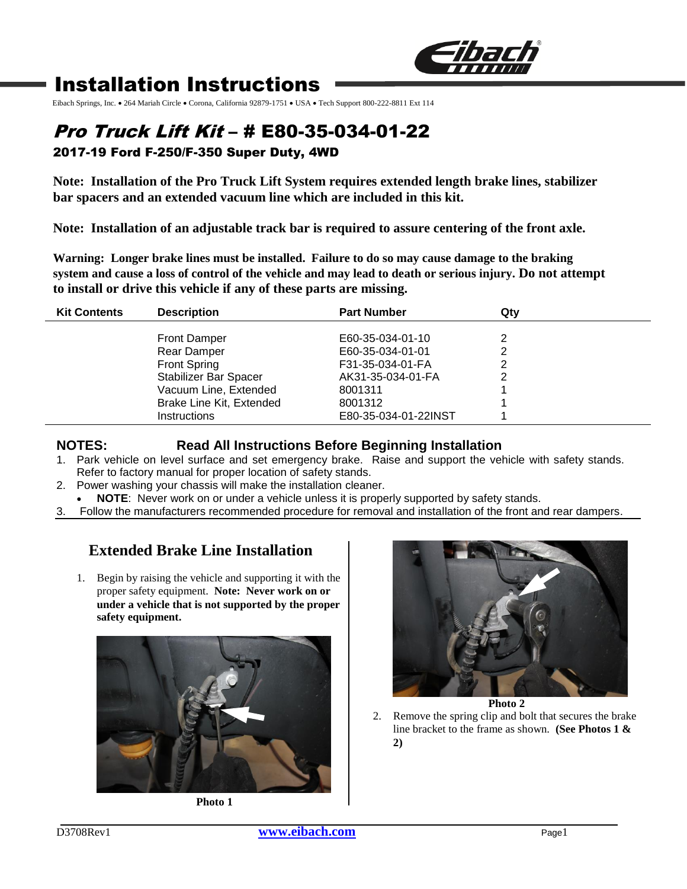

# Installation Instructions

Eibach Springs, Inc. • 264 Mariah Circle • Corona, California 92879-1751 • USA • Tech Support 800-222-8811 Ext 114

## Pro Truck Lift Kit – # E80-35-034-01-22 2017-19 Ford F-250/F-350 Super Duty, 4WD

**Note: Installation of the Pro Truck Lift System requires extended length brake lines, stabilizer bar spacers and an extended vacuum line which are included in this kit.**

**Note: Installation of an adjustable track bar is required to assure centering of the front axle.**

**Warning: Longer brake lines must be installed. Failure to do so may cause damage to the braking system and cause a loss of control of the vehicle and may lead to death or serious injury. Do not attempt to install or drive this vehicle if any of these parts are missing.** 

| <b>Kit Contents</b> | <b>Description</b>                                                                                                                                             | <b>Part Number</b>                                                                                                          | Qtv |
|---------------------|----------------------------------------------------------------------------------------------------------------------------------------------------------------|-----------------------------------------------------------------------------------------------------------------------------|-----|
|                     | <b>Front Damper</b><br>Rear Damper<br><b>Front Spring</b><br>Stabilizer Bar Spacer<br>Vacuum Line, Extended<br>Brake Line Kit, Extended<br><b>Instructions</b> | E60-35-034-01-10<br>E60-35-034-01-01<br>F31-35-034-01-FA<br>AK31-35-034-01-FA<br>8001311<br>8001312<br>E80-35-034-01-22INST |     |
|                     |                                                                                                                                                                |                                                                                                                             |     |

### **NOTES: Read All Instructions Before Beginning Installation**

- 1. Park vehicle on level surface and set emergency brake. Raise and support the vehicle with safety stands. Refer to factory manual for proper location of safety stands.
- 2. Power washing your chassis will make the installation cleaner.
- **NOTE**: Never work on or under a vehicle unless it is properly supported by safety stands.
- 3. Follow the manufacturers recommended procedure for removal and installation of the front and rear dampers.

## **Extended Brake Line Installation**

1. Begin by raising the vehicle and supporting it with the proper safety equipment. **Note: Never work on or under a vehicle that is not supported by the proper safety equipment.**



**Photo 1**



2. Remove the spring clip and bolt that secures the brake line bracket to the frame as shown. **(See Photos 1 & 2)**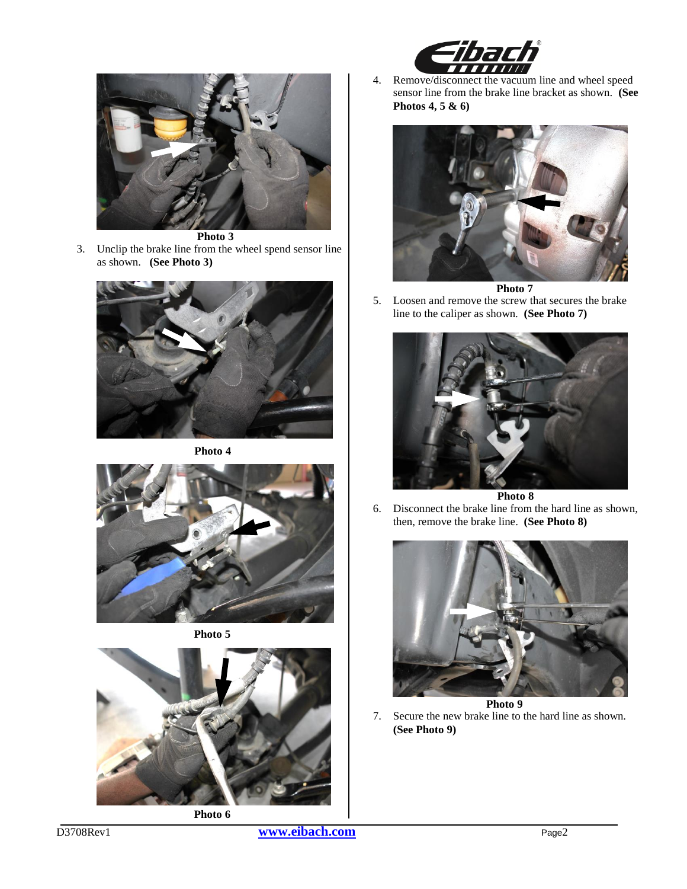



3. Unclip the brake line from the wheel spend sensor line as shown. **(See Photo 3)**



**Photo 4**



**Photo 5**



4. Remove/disconnect the vacuum line and wheel speed sensor line from the brake line bracket as shown. **(See Photos 4, 5 & 6)**



**Photo 7**

5. Loosen and remove the screw that secures the brake line to the caliper as shown. **(See Photo 7)**



**Photo 8**

6. Disconnect the brake line from the hard line as shown, then, remove the brake line. **(See Photo 8)**



7. Secure the new brake line to the hard line as shown. **(See Photo 9)**

D3708Rev1 **[www.eibach.com](http://www.eibach.com/)** Page2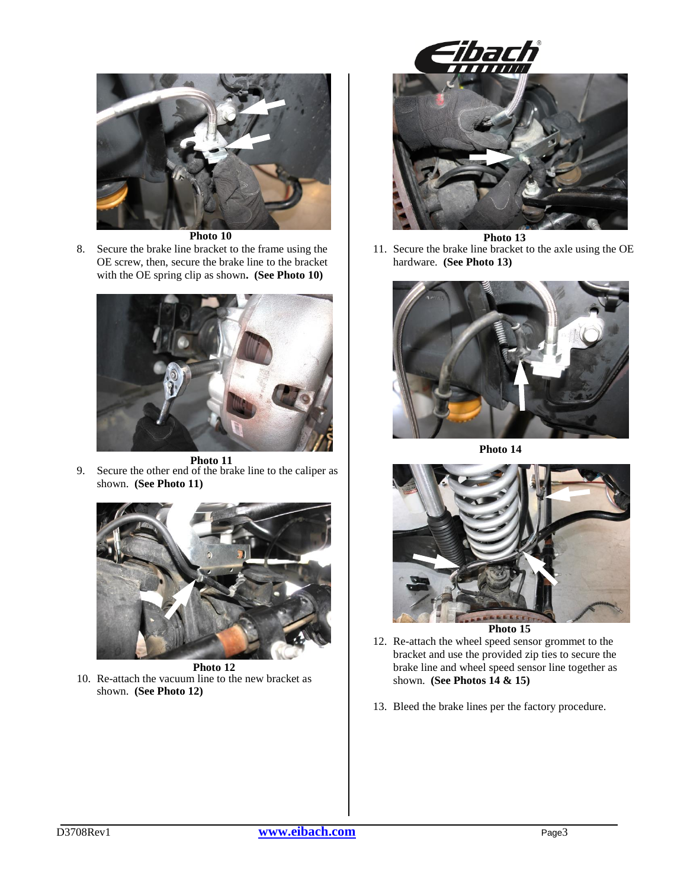

**Photo 10**

8. Secure the brake line bracket to the frame using the OE screw, then, secure the brake line to the bracket with the OE spring clip as shown**. (See Photo 10)**



**Photo 11**

9. Secure the other end of the brake line to the caliper as shown. **(See Photo 11)**



10. Re-attach the vacuum line to the new bracket as shown. **(See Photo 12) Photo 12**



**Photo 13**

11. Secure the brake line bracket to the axle using the OE hardware. **(See Photo 13)**



**Photo 14**



**Photo 15**

- 12. Re-attach the wheel speed sensor grommet to the bracket and use the provided zip ties to secure the brake line and wheel speed sensor line together as shown. **(See Photos 14 & 15)**
- 13. Bleed the brake lines per the factory procedure.